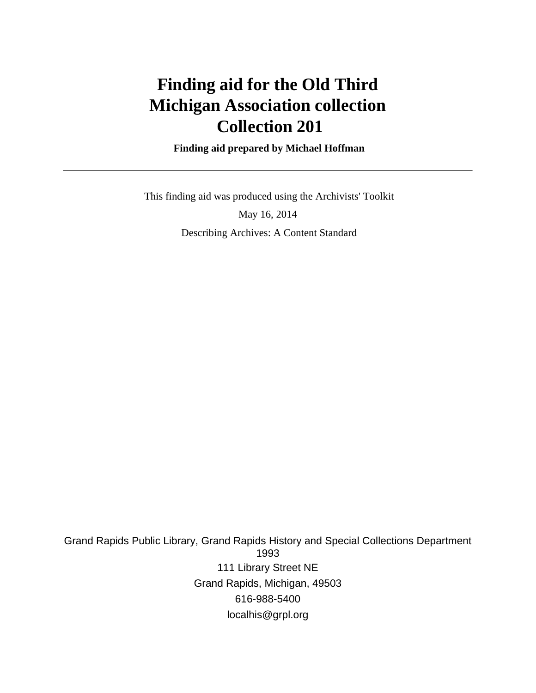# **Finding aid for the Old Third Michigan Association collection Collection 201**

 **Finding aid prepared by Michael Hoffman**

 This finding aid was produced using the Archivists' Toolkit May 16, 2014 Describing Archives: A Content Standard

Grand Rapids Public Library, Grand Rapids History and Special Collections Department 1993 111 Library Street NE Grand Rapids, Michigan, 49503 616-988-5400 localhis@grpl.org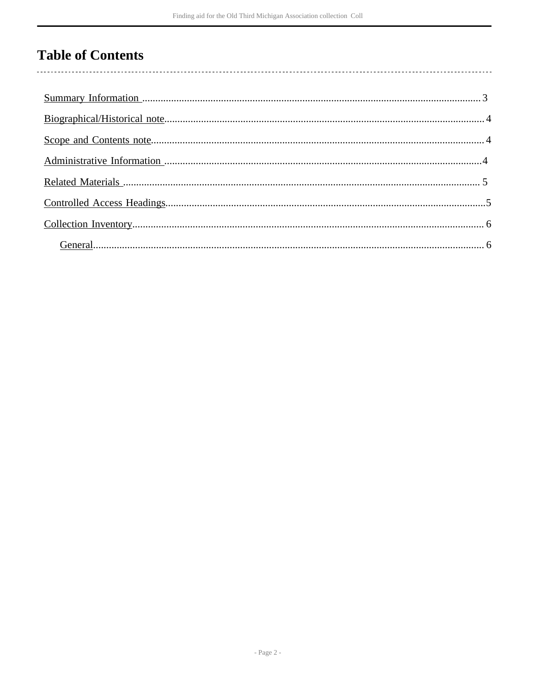## **Table of Contents**

 $\overline{\phantom{a}}$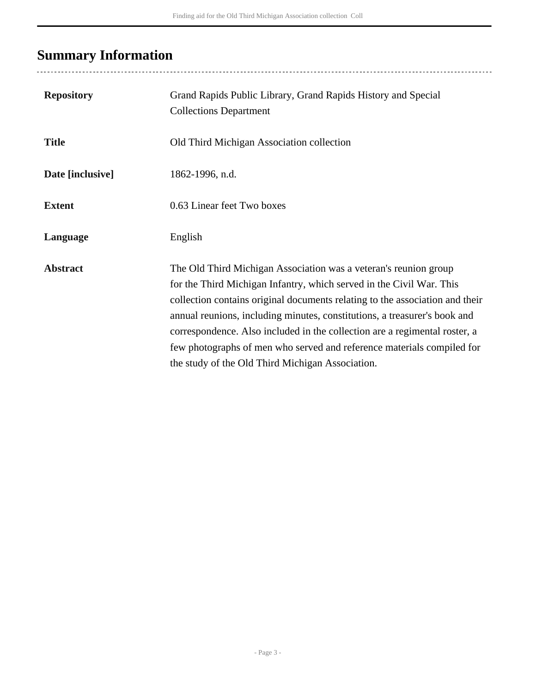## <span id="page-2-0"></span>**Summary Information**

..................................

| <b>Repository</b> | Grand Rapids Public Library, Grand Rapids History and Special<br><b>Collections Department</b>                                                                                                                                                                                                                                                                                                                                                                                                                    |
|-------------------|-------------------------------------------------------------------------------------------------------------------------------------------------------------------------------------------------------------------------------------------------------------------------------------------------------------------------------------------------------------------------------------------------------------------------------------------------------------------------------------------------------------------|
| <b>Title</b>      | Old Third Michigan Association collection                                                                                                                                                                                                                                                                                                                                                                                                                                                                         |
| Date [inclusive]  | 1862-1996, n.d.                                                                                                                                                                                                                                                                                                                                                                                                                                                                                                   |
| <b>Extent</b>     | 0.63 Linear feet Two boxes                                                                                                                                                                                                                                                                                                                                                                                                                                                                                        |
| Language          | English                                                                                                                                                                                                                                                                                                                                                                                                                                                                                                           |
| <b>Abstract</b>   | The Old Third Michigan Association was a veteran's reunion group<br>for the Third Michigan Infantry, which served in the Civil War. This<br>collection contains original documents relating to the association and their<br>annual reunions, including minutes, constitutions, a treasurer's book and<br>correspondence. Also included in the collection are a regimental roster, a<br>few photographs of men who served and reference materials compiled for<br>the study of the Old Third Michigan Association. |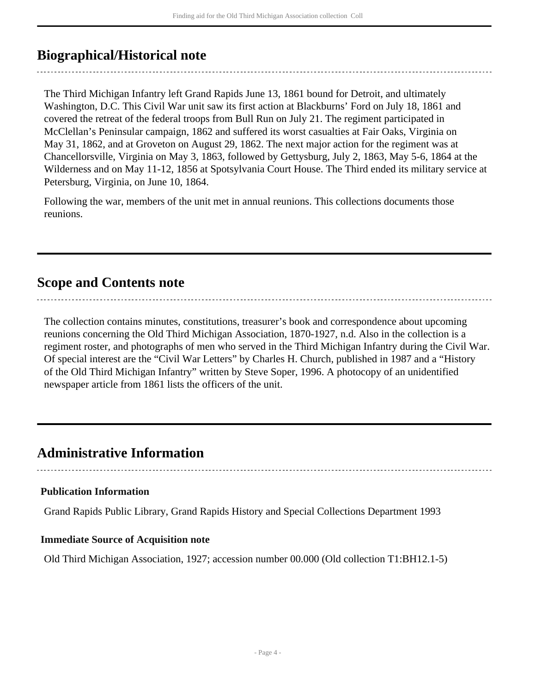### <span id="page-3-0"></span>**Biographical/Historical note**

The Third Michigan Infantry left Grand Rapids June 13, 1861 bound for Detroit, and ultimately Washington, D.C. This Civil War unit saw its first action at Blackburns' Ford on July 18, 1861 and covered the retreat of the federal troops from Bull Run on July 21. The regiment participated in McClellan's Peninsular campaign, 1862 and suffered its worst casualties at Fair Oaks, Virginia on May 31, 1862, and at Groveton on August 29, 1862. The next major action for the regiment was at Chancellorsville, Virginia on May 3, 1863, followed by Gettysburg, July 2, 1863, May 5-6, 1864 at the Wilderness and on May 11-12, 1856 at Spotsylvania Court House. The Third ended its military service at Petersburg, Virginia, on June 10, 1864.

Following the war, members of the unit met in annual reunions. This collections documents those reunions.

### <span id="page-3-1"></span>**Scope and Contents note**

The collection contains minutes, constitutions, treasurer's book and correspondence about upcoming reunions concerning the Old Third Michigan Association, 1870-1927, n.d. Also in the collection is a regiment roster, and photographs of men who served in the Third Michigan Infantry during the Civil War. Of special interest are the "Civil War Letters" by Charles H. Church, published in 1987 and a "History of the Old Third Michigan Infantry" written by Steve Soper, 1996. A photocopy of an unidentified newspaper article from 1861 lists the officers of the unit.

## <span id="page-3-2"></span>**Administrative Information**

#### **Publication Information**

Grand Rapids Public Library, Grand Rapids History and Special Collections Department 1993

#### **Immediate Source of Acquisition note**

Old Third Michigan Association, 1927; accession number 00.000 (Old collection T1:BH12.1-5)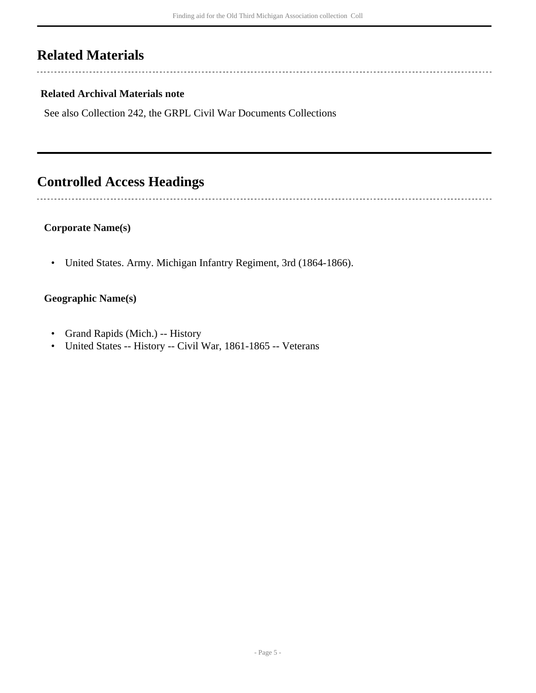## <span id="page-4-0"></span>**Related Materials**

 $\overline{a}$ 

 $\overline{a}$ 

#### **Related Archival Materials note**

See also Collection 242, the GRPL Civil War Documents Collections

## <span id="page-4-1"></span>**Controlled Access Headings**

#### **Corporate Name(s)**

• United States. Army. Michigan Infantry Regiment, 3rd (1864-1866).

#### **Geographic Name(s)**

- Grand Rapids (Mich.) -- History
- United States -- History -- Civil War, 1861-1865 -- Veterans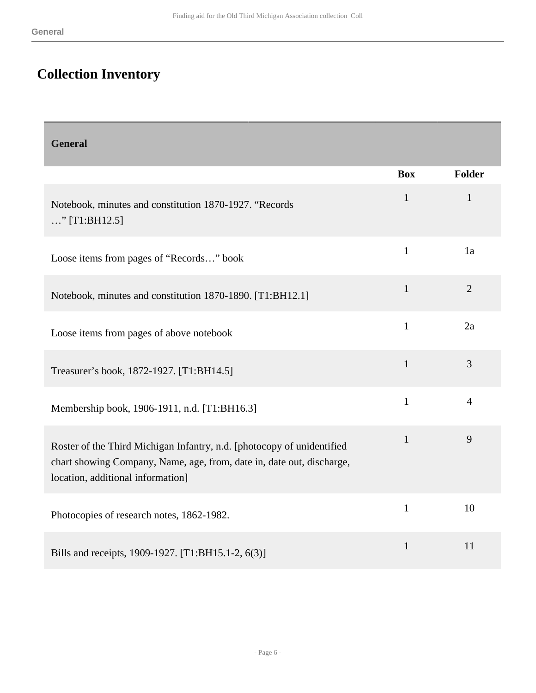Г

# <span id="page-5-0"></span>**Collection Inventory**

<span id="page-5-1"></span>

| <b>General</b>                                                                                                                                                                       |              |                |
|--------------------------------------------------------------------------------------------------------------------------------------------------------------------------------------|--------------|----------------|
|                                                                                                                                                                                      | <b>Box</b>   | Folder         |
| Notebook, minutes and constitution 1870-1927. "Records<br>" [T1:BH12.5]                                                                                                              | $\mathbf{1}$ | $\mathbf{1}$   |
| Loose items from pages of "Records" book                                                                                                                                             | $\mathbf{1}$ | 1a             |
| Notebook, minutes and constitution 1870-1890. [T1:BH12.1]                                                                                                                            | $\mathbf{1}$ | $\overline{2}$ |
| Loose items from pages of above notebook                                                                                                                                             | $\mathbf{1}$ | 2a             |
| Treasurer's book, 1872-1927. [T1:BH14.5]                                                                                                                                             | $\mathbf{1}$ | 3              |
| Membership book, 1906-1911, n.d. [T1:BH16.3]                                                                                                                                         | $\mathbf{1}$ | $\overline{4}$ |
| Roster of the Third Michigan Infantry, n.d. [photocopy of unidentified<br>chart showing Company, Name, age, from, date in, date out, discharge,<br>location, additional information] | $\mathbf{1}$ | 9              |
| Photocopies of research notes, 1862-1982.                                                                                                                                            | $\mathbf{1}$ | 10             |
| Bills and receipts, 1909-1927. [T1:BH15.1-2, 6(3)]                                                                                                                                   | $\mathbf{1}$ | 11             |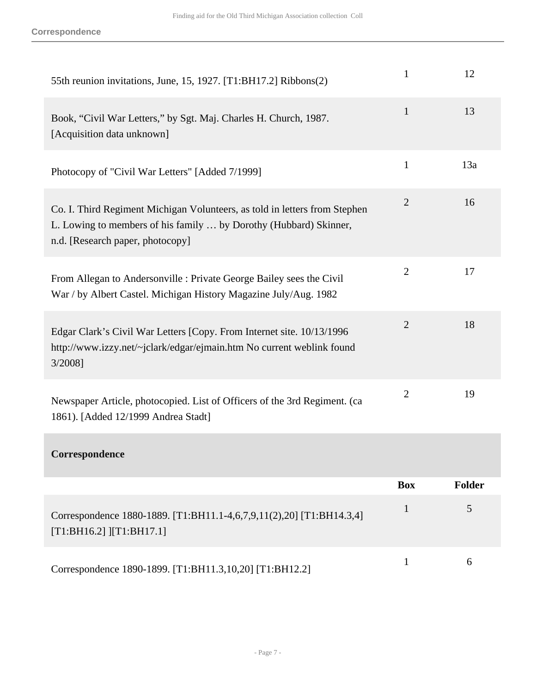| 55th reunion invitations, June, 15, 1927. [T1:BH17.2] Ribbons(2)                                                                                                                    | $\mathbf{1}$   | 12            |
|-------------------------------------------------------------------------------------------------------------------------------------------------------------------------------------|----------------|---------------|
| Book, "Civil War Letters," by Sgt. Maj. Charles H. Church, 1987.<br>[Acquisition data unknown]                                                                                      | $\mathbf{1}$   | 13            |
| Photocopy of "Civil War Letters" [Added 7/1999]                                                                                                                                     | $\mathbf{1}$   | 13a           |
| Co. I. Third Regiment Michigan Volunteers, as told in letters from Stephen<br>L. Lowing to members of his family  by Dorothy (Hubbard) Skinner,<br>n.d. [Research paper, photocopy] | $\overline{2}$ | 16            |
| From Allegan to Andersonville : Private George Bailey sees the Civil<br>War / by Albert Castel. Michigan History Magazine July/Aug. 1982                                            | $\overline{2}$ | 17            |
| Edgar Clark's Civil War Letters [Copy. From Internet site. 10/13/1996<br>http://www.izzy.net/~jclark/edgar/ejmain.htm No current weblink found<br>3/2008]                           | $\overline{2}$ | 18            |
| Newspaper Article, photocopied. List of Officers of the 3rd Regiment. (ca<br>1861). [Added 12/1999 Andrea Stadt]                                                                    | $\overline{2}$ | 19            |
| Correspondence                                                                                                                                                                      |                |               |
|                                                                                                                                                                                     | <b>Box</b>     | <b>Folder</b> |
| Correspondence 1880-1889. [T1:BH11.1-4,6,7,9,11(2),20] [T1:BH14.3,4]<br>[T1:BH16.2]   [T1:BH17.1]                                                                                   | $\mathbf{1}$   | 5             |
| Correspondence 1890-1899. [T1:BH11.3,10,20] [T1:BH12.2]                                                                                                                             | $\mathbf{1}$   | 6             |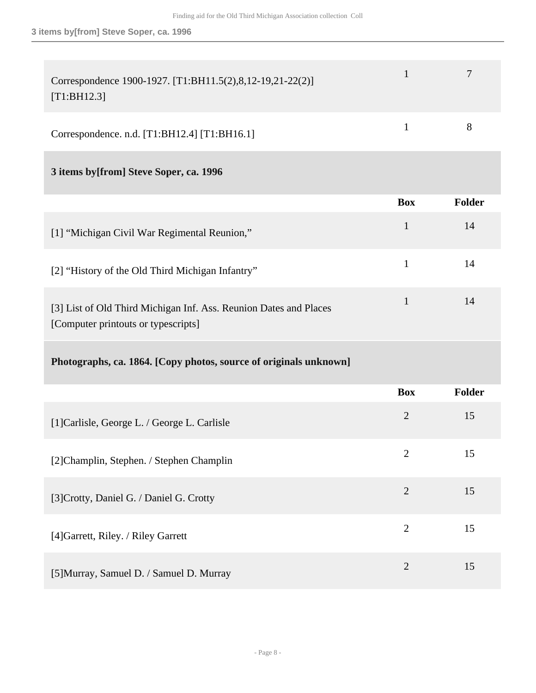| Correspondence 1900-1927. [T1:BH11.5(2),8,12-19,21-22(2)]<br>[T1:BH12.3]                                 | 1              | $\overline{7}$ |
|----------------------------------------------------------------------------------------------------------|----------------|----------------|
| Correspondence. n.d. [T1:BH12.4] [T1:BH16.1]                                                             | $\mathbf{1}$   | 8              |
| 3 items by [from] Steve Soper, ca. 1996                                                                  |                |                |
|                                                                                                          | <b>Box</b>     | Folder         |
| [1] "Michigan Civil War Regimental Reunion,"                                                             | $\mathbf{1}$   | 14             |
| [2] "History of the Old Third Michigan Infantry"                                                         | $\mathbf{1}$   | 14             |
| [3] List of Old Third Michigan Inf. Ass. Reunion Dates and Places<br>[Computer printouts or typescripts] | $\mathbf{1}$   | 14             |
| Photographs, ca. 1864. [Copy photos, source of originals unknown]                                        |                |                |
|                                                                                                          | <b>Box</b>     | <b>Folder</b>  |
| [1] Carlisle, George L. / George L. Carlisle                                                             | $\overline{2}$ | 15             |
| [2] Champlin, Stephen. / Stephen Champlin                                                                | $\overline{2}$ | 15             |
| [3] Crotty, Daniel G. / Daniel G. Crotty                                                                 | $\overline{2}$ | 15             |
| [4] Garrett, Riley. / Riley Garrett                                                                      | $\overline{2}$ | 15             |
|                                                                                                          |                |                |